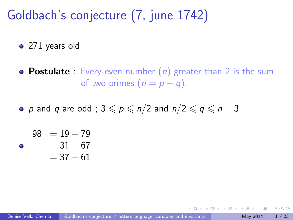### Goldbach's conjecture (7, june 1742)

• 271 years old

**• Postulate** : Every even number  $(n)$  greater than 2 is the sum of two primes  $(n = p + q)$ .

• p and q are odd ;  $3 \leqslant p \leqslant n/2$  and  $n/2 \leqslant q \leqslant n-3$ 

<span id="page-0-0"></span>
$$
98 = 19 + 79
$$
  
= 31 + 67  
= 37 + 61

 $\bullet$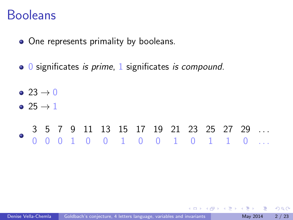#### Booleans

- One represents primality by booleans.
- 0 significates is prime, 1 significates is compound.
- $\bullet$  23  $\rightarrow$  0
- $\bullet$  25  $\rightarrow$  1

#### 3 5 7 9 11 13 15 17 19 21 23 25 27 29 . . . 0 0 0 1 0 0 1 0 0 1 0 1 1 0 . . .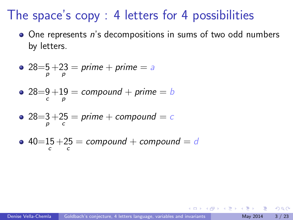### The space's copy : 4 letters for 4 possibilities

• One represents n's decompositions in sums of two odd numbers by letters.

$$
28=5+23 = prime + prime = a
$$

• 
$$
28=9+19=
$$
 compound + prime = b

• 
$$
28=3+25
$$
 = prime + compound = c

• 
$$
40=15+25 = compound + compound = d
$$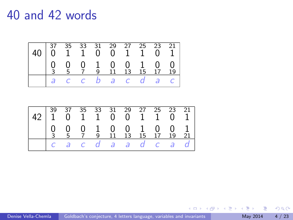#### 40 and 42 words



| 42 39 37 35 33 31 29 27 25 23 21 42 1 0 1 1 0 0 1 1 0 1 |  |  |  |                                                                                                                                   |  |
|---------------------------------------------------------|--|--|--|-----------------------------------------------------------------------------------------------------------------------------------|--|
|                                                         |  |  |  | $\begin{array}{ccccccccccccc}\n0 & 0 & 0 & 1 & 0 & 0 & 1 & 0 & 0 & 1 \\ 3 & 5 & 7 & 9 & 11 & 13 & 15 & 17 & 19 & 21\n\end{array}$ |  |
|                                                         |  |  |  | cacdaad cad                                                                                                                       |  |

画

4 D F

イ何 ト イヨ ト イヨー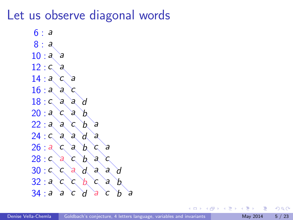### Let us observe diagonal words

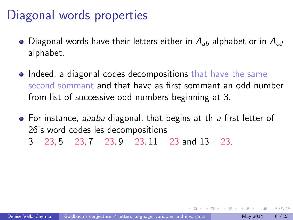### Diagonal words properties

- Diagonal words have their letters either in  $A_{ab}$  alphabet or in  $A_{cd}$ alphabet.
- Indeed, a diagonal codes decompositions that have the same second sommant and that have as first sommant an odd number from list of successive odd numbers beginning at 3.
- For instance, aaaba diagonal, that begins at th a first letter of 26's word codes les decompositions  $3 + 23$ ,  $5 + 23$ ,  $7 + 23$ ,  $9 + 23$ ,  $11 + 23$  and  $13 + 23$ .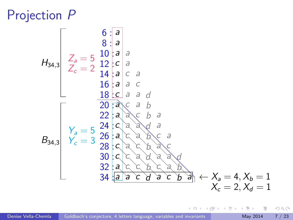### Projection P

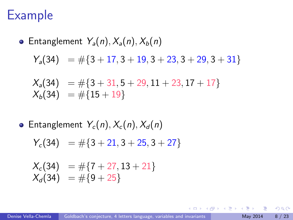### Example

• Entanglement 
$$
Y_a(n)
$$
,  $X_a(n)$ ,  $X_b(n)$   
\n $Y_a(34) = #{3 + 17, 3 + 19, 3 + 23, 3 + 29, 3 + 31}$   
\n $X_a(34) = #{3 + 31, 5 + 29, 11 + 23, 17 + 17}$   
\n $X_b(34) = #{15 + 19}$ 

• Entanglement  $Y_c(n)$ ,  $X_c(n)$ ,  $X_d(n)$ 

$$
Y_c(34) = \#\{3+21, 3+25, 3+27\}
$$

$$
\begin{array}{rcl} X_c(34) & = & \# \{7 + 27, 13 + 21\} \\ X_d(34) & = & \# \{9 + 25\} \end{array}
$$

 $QQ$ 

メタメ メミメ メミメ

4 日下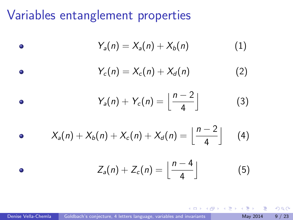### Variables entanglement properties

 $\bullet$ 

 $\bullet$ 

$$
Y_a(n) = X_a(n) + X_b(n) \tag{1}
$$

$$
Y_c(n) = X_c(n) + X_d(n) \tag{2}
$$

• 
$$
Y_a(n) + Y_c(n) = \left\lfloor \frac{n-2}{4} \right\rfloor
$$
 (3)

• 
$$
X_a(n) + X_b(n) + X_c(n) + X_d(n) = \left\lfloor \frac{n-2}{4} \right\rfloor
$$
 (4)

 $Z_a(n) + Z_c(n) = \left| \frac{n-4}{4} \right|$ 4  $\overline{\phantom{a}}$ (5)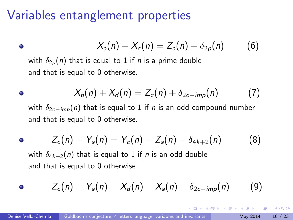### Variables entanglement properties

 $\bullet$ 

$$
X_a(n) + X_c(n) = Z_a(n) + \delta_{2p}(n) \qquad (6)
$$

with  $\delta_{2p}(n)$  that is equal to 1 if *n* is a prime double and that is equal to 0 otherwise.

• 
$$
X_b(n) + X_d(n) = Z_c(n) + \delta_{2c - imp}(n)
$$
 (7)

with  $\delta_{2c-imp}(n)$  that is equal to 1 if *n* is an odd compound number and that is equal to 0 otherwise.

• 
$$
Z_c(n) - Y_a(n) = Y_c(n) - Z_a(n) - \delta_{4k+2}(n)
$$
 (8)

with  $\delta_{4k+2}(n)$  that is equal to 1 if *n* is an odd double and that is equal to 0 otherwise.

• 
$$
Z_c(n) - Y_a(n) = X_d(n) - X_a(n) - \delta_{2c-imp}(n)
$$
 (9)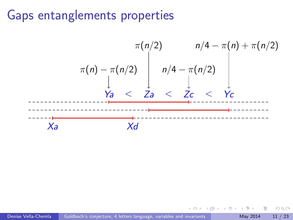### Gaps entanglements properties

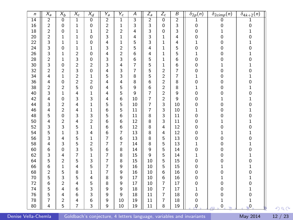| n  | $X_a$          | $X_b$          | $X_c$          | $X_d$          | $\overline{Y_a}$ | $\overline{Y_c}$ | $\overline{\mathcal{A}}$ | $Z_a$          | $Z_c$          | $\overline{B}$ | $\delta_{2p}(n)$ | $\delta_{2\text{cimp}}(n)$ | $\delta_{4k+2}(n)$       |
|----|----------------|----------------|----------------|----------------|------------------|------------------|--------------------------|----------------|----------------|----------------|------------------|----------------------------|--------------------------|
| 14 | $\overline{2}$ | 0              | 1              | $\overline{0}$ | 2                | 1                | 3                        | $\overline{2}$ | $\overline{0}$ | $\overline{2}$ | 1                | 0                          | 1                        |
| 16 | 2              | 0              | 1              | 0              | $\overline{c}$   | 1                | 3                        | 3              | 0              | 3              | 0                | 0                          | 0                        |
| 18 | $\overline{2}$ | 0              | $\mathbf{1}$   | 1              | $\overline{2}$   | $\overline{2}$   | 4                        | 3              | 0              | 3              | 0                | 1                          | 1                        |
| 20 | $\overline{c}$ | 1              | 1              | 0              | 3                | 1                | 4                        | 3              | 1              | 4              | 0                | 0                          | 0                        |
| 22 | 3              | 1              | 1              | 0              | 4                | 1                | 5                        | 3              | $\mathbf{1}$   | 4              | 1                | 0                          | 1                        |
| 24 | 3              | 0              | 1              | $\mathbf 1$    | 3                | $\overline{2}$   | 5                        | 4              | $\mathbf{1}$   | 5              | 0                | 0                          | 0                        |
| 26 | 3              | 1              | $\overline{2}$ | 0              | 4                | $\overline{2}$   | 6                        | 4              | $\mathbf{1}$   | 5              | 1                | 0                          | $\mathbf{1}$             |
| 28 | $\overline{2}$ | 1              | 3              | 0              | 3                | 3                | 6                        | 5              | 1              | 6              | 0                | 0                          | 0                        |
| 30 | 3              | 0              | 2              | 2              | 3                | 4                | $\overline{7}$           | 5              | 1              | 6              | 0                | 1                          | 1                        |
| 32 | $\overline{2}$ | $\overline{2}$ | 3              | 0              | 4                | 3                | $\overline{7}$           | 5              | $\overline{c}$ | $\overline{7}$ | 0                | 0                          | 0                        |
| 34 | 4              | 1              | $\overline{c}$ | 1              | 5                | 3                | 8                        | 5              | $\overline{2}$ | $\overline{7}$ | 1                | 0                          | 1                        |
| 36 | 4              | 0              | $\overline{2}$ | $\overline{2}$ | 4                | 4                | 8                        | 6              | $\overline{2}$ | 8              | 0                | 0                          | 0                        |
| 38 | $\overline{2}$ | $\overline{2}$ | 5              | 0              | 4                | 5                | 9                        | 6              | $\overline{2}$ | 8              | 1                | 0                          | 1                        |
| 40 | 3              | $\mathbf{1}$   | 4              | 1              | 4                | 5                | 9                        | $\overline{7}$ | $\overline{c}$ | 9              | 0                | 0                          | 0                        |
| 42 | 4              | 0              | 3              | 3              | 4                | 6                | 10                       | $\overline{7}$ | $\overline{2}$ | 9              | 0                | 1                          | $\mathbf{1}$             |
| 44 | 3              | $\overline{2}$ | 4              | 1              | 5                | 5                | 10                       | $\overline{7}$ | 3              | 10             | 0                | 0                          | 0                        |
| 46 | 4              | $\overline{2}$ | 4              | 1              | 6                | 5                | 11                       | $\overline{7}$ | 3              | 10             | 1                | 0                          | 1                        |
| 48 | 5              | 0              | 3              | 3              | 5                | 6                | 11                       | 8              | 3              | 11             | 0                | 0                          | 0                        |
| 50 | 4              | $\overline{2}$ | 4              | $\overline{c}$ | 6                | 6                | 12                       | 8              | 3              | 11             | 0                | 1                          | 1                        |
| 52 | 3              | 3              | 5              | 1              | 6                | 6                | 12                       | 8              | 4              | 12             | 0                | 0                          | 0                        |
| 54 | 5              | 1              | 3              | 4              | 6                | $\overline{7}$   | 13                       | 8              | 4              | 12             | 0                | 1                          | 1                        |
| 56 | 3              | 4              | 5              | $\mathbf{1}$   | $\overline{7}$   | 6                | 13                       | 8              | 5              | 13             | 0                | 0                          | 0                        |
| 58 | 4              | 3              | 5              | $\overline{c}$ | $\overline{7}$   | $\overline{7}$   | 14                       | 8              | 5              | 13             | 1                | 0                          | 1                        |
| 60 | 6              | 0              | 3              | 5              | 6                | 8                | 14                       | 9              | 5              | 14             | 0                | 0                          | 0                        |
| 62 | 3              | 4              | 7              | 1              | 7                | 8                | 15                       | 9              | 5              | 14             | 1                | 0                          | 1                        |
| 64 | 5              | $\overline{2}$ | 5              | 3              | $\overline{7}$   | 8                | 15                       | 10             | 5              | 15             | 0                | 0                          | 0                        |
| 66 | 6              | 1              | 4              | 5              | $\overline{7}$   | 9                | 16                       | 10             | 5              | 15             | 0                | 1                          | 1                        |
| 68 | $\overline{2}$ | 5              | 8              | $\mathbf{1}$   | $\overline{7}$   | 9                | 16                       | 10             | 6              | 16             | 0                | 0                          | 0                        |
| 70 | 5              | 3              | 5              | 4              | 8                | 9                | 17                       | 10             | 6              | 16             | 0                | 1                          | $\mathbf 1$              |
| 72 | 6              | $\overline{2}$ | 4              | 5              | 8                | 9                | 17                       | 10             | $\overline{7}$ | 17             | 0                | 0                          | 0                        |
| 74 | 5              | 4              | 6              | 3              | 9                | g                | 18                       | 10             | $\overline{7}$ | 17             | 1                | 0                          | $\mathbf{1}$             |
| 76 | 5              | 4              | 6              | 3              | 9                | 9                | 18                       | 11             | $\overline{7}$ | 18             | 0                | 0                          | 0                        |
| 78 | $\overline{7}$ | $\overline{2}$ | 4              | 6              | 9                | 10               | 19                       | 11             | $\overline{7}$ | 18             | 0                | 1                          | $\mathbf{1}$             |
| 80 | 4              | 5              | 7              | 3              | 9                | 10               | 19                       | 11             | 8              | 19             | $\overline{0}$   | $\mathbf 0$<br>÷           | $\overline{\phantom{0}}$ |

Denise Vella-Chemla [Goldbach's conjecture, 4 letters language, variables and invariants](#page-0-0) May 2014 12 / 23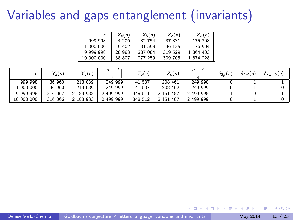# Variables and gaps entanglement (invariants)

<span id="page-12-0"></span>

|            | $X_{a}(n)$ | $X_h(n)$ | $X_c(n)$ | $X_d(n)$  |
|------------|------------|----------|----------|-----------|
| 999 998    | 4 20 6     | 32 754   | 37 331   | 175 708   |
| 1 000 000  | 5 402      | 31 558   | 36 135   | 176 904   |
| 9 999 998  | 28 983     | 287 084  | 319 529  | 1 864 403 |
| 10 000 000 | 38 807     | 277 259  | 309 705  | 1874228   |

|            | $Y_a(n)$ | $Y_c(n)$  | n<br>$\overline{\phantom{a}}$ | $Z_a(n)$ | $Z_c(n)$  | $n -$<br>$\overline{4}$ | $\delta_{2p}(n)$ | $\delta_{2ci}(n)$ | $\delta_{4k+2}(n)$ |
|------------|----------|-----------|-------------------------------|----------|-----------|-------------------------|------------------|-------------------|--------------------|
| 999 998    | 36 960   | 213 039   | 249 999                       | 41 537   | 208 461   | 249 998                 |                  |                   |                    |
| 1 000 000  | 36 960   | 213 039   | 249 999                       | 41 537   | 208 462   | 249 999                 |                  |                   |                    |
| 9 999 998  | 316 067  | 183 932   | 2 499 999                     | 348 511  | 2 151 487 | 2 499 998               |                  |                   |                    |
| 10 000 000 | 316 066  | 2 183 933 | 2 499 999                     | 348 512  | 2 151 487 | 2 499 999               |                  |                   |                    |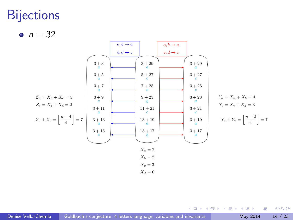### **Bijections**

•  $n = 32$ 



イロト イ部 トメ ヨ トメ ヨト

 $299$ 

画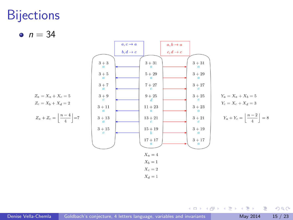### **Bijections**

•  $n = 34$ 



 $\left\{ \begin{array}{ccc} 1 & 0 & 0 \\ 0 & 1 & 0 \end{array} \right.$ 

 $299$ 

画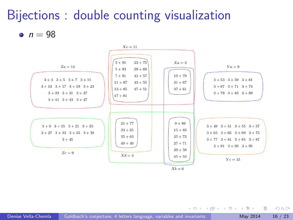# Bijections : double counting visualization

•  $n = 98$ 



 $\left\{ \begin{array}{ccc} 1 & 0 & 0 \\ 0 & 1 & 0 \end{array} \right.$ 

 $QQ$ 

G.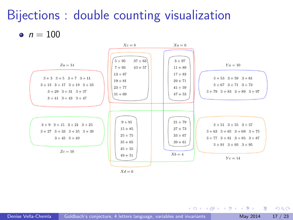# Bijections : double counting visualization

•  $n = 100$ 



 $\left\{ \begin{array}{ccc} 1 & 0 & 0 \\ 0 & 1 & 0 \end{array} \right.$ 

 $QQ$ 

G.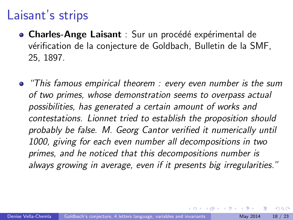### Laisant's strips

- Charles-Ange Laisant : Sur un procédé expérimental de vérification de la conjecture de Goldbach, Bulletin de la SMF, 25, 1897.
- **•** "This famous empirical theorem : every even number is the sum of two primes, whose demonstration seems to overpass actual possibilities, has generated a certain amount of works and contestations. Lionnet tried to establish the proposition should probably be false. M. Georg Cantor verified it numerically until 1000, giving for each even number all decompositions in two primes, and he noticed that this decompositions number is always growing in average, even if it presents big irregularities."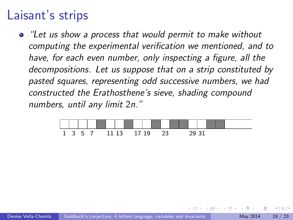### Laisant's strips

"Let us show a process that would permit to make without computing the experimental verification we mentioned, and to have, for each even number, only inspecting a figure, all the decompositions. Let us suppose that on a strip constituted by pasted squares, representing odd successive numbers, we had constructed the Erathosthene's sieve, shading compound numbers, until any limit 2n."

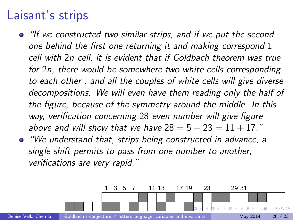### Laisant's strips

- "If we constructed two similar strips, and if we put the second one behind the first one returning it and making correspond 1 cell with 2n cell, it is evident that if Goldbach theorem was true for 2n, there would be somewhere two white cells corresponding to each other ; and all the couples of white cells will give diverse decompositions. We will even have them reading only the half of the figure, because of the symmetry around the middle. In this way, verification concerning 28 even number will give figure above and will show that we have  $28 = 5 + 23 = 11 + 17$ ."
- "We understand that, strips being constructed in advance, a single shift permits to pass from one number to another, verifications are very rapid."

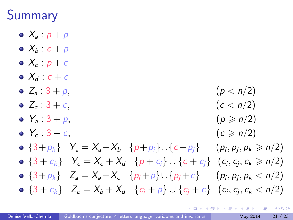## Summary

- $\bullet$   $X_a$  :  $p + p$
- $\bullet$   $X_b : c + p$
- $\bullet$   $X_c$  :  $p + c$
- $\bullet$   $X_d$  :  $c + c$
- $Z_a: 3 + p$ ,  $(p < n/2)$
- $Z_c : 3 + c$ ,  $(c < n/2)$
- $Y_a : 3 + p$ ,  $(p \ge n/2)$
- $Y_c$  :  $3+c$ ,  $(c \ge n/2)$
- $\{3+p_k\}$   $Y_a = X_a + X_b$   $\{p+p_i\} \cup \{c+p_i\}$  $, p_j, p_k \geqslant n/2)$
- $\{3 + c_k\}$   $Y_c = X_c + X_d$   $\{p + c_i\} \cup \{c + c_j\}$   $(c_i, c_j, c_k \ge n/2)$
- $\bullet \{3+p_k\}$   $Z_a = X_a + X_c \{p_i+p\} \cup \{p_i+c\}$  $, p_j, p_k < n/2)$  ${3 + c_k} Z_c = X_b + X_d \{c_i + p\} \cup {c_j + c} (c_i, c_j, c_k < n/2)$

 $QQ$ 

 $\mathcal{A} \cap \mathcal{B} \rightarrow \mathcal{A} \ni \mathcal{B} \rightarrow \mathcal{A} \ni \mathcal{B} \rightarrow \mathcal{B}$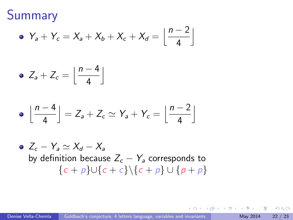Summary

$$
\bullet \ \ Y_a + Y_c = X_a + X_b + X_c + X_d = \left\lfloor \frac{n-2}{4} \right\rfloor
$$

$$
\bullet \ \ Z_a + Z_c = \left\lfloor \frac{n-4}{4} \right\rfloor
$$

$$
\bullet \ \left\lfloor \frac{n-4}{4} \right\rfloor = Z_a + Z_c \simeq Y_a + Y_c = \left\lfloor \frac{n-2}{4} \right\rfloor
$$

• 
$$
Z_c - Y_a \simeq X_d - X_a
$$
  
by definition because  $Z_c - Y_a$  corresponds to  

$$
\{c + p\} \cup \{c + c\} \setminus \{c + p\} \cup \{p + p\}
$$

イロト イ部 トメ ヨ トメ ヨト

重